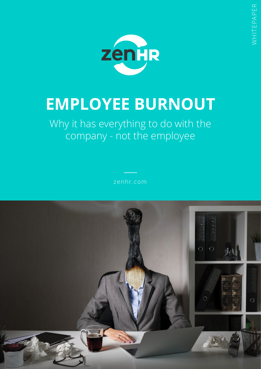

# **EMPLOYEE BURNOUT**

Why it has everything to do with the company - not the employee

zenhr.com

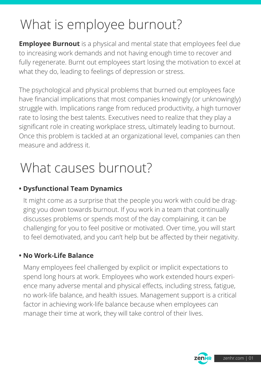## What is employee burnout?

**Employee Burnout** is a physical and mental state that employees feel due to increasing work demands and not having enough time to recover and fully regenerate. Burnt out employees start losing the motivation to excel at what they do, leading to feelings of depression or stress.

The psychological and physical problems that burned out employees face have financial implications that most companies knowingly (or unknowingly) struggle with. Implications range from reduced productivity, a high turnover rate to losing the best talents. Executives need to realize that they play a significant role in creating workplace stress, ultimately leading to burnout. Once this problem is tackled at an organizational level, companies can then measure and address it.

## What causes burnout?

### **• Dysfunctional Team Dynamics**

It might come as a surprise that the people you work with could be dragging you down towards burnout. If you work in a team that continually discusses problems or spends most of the day complaining, it can be challenging for you to feel positive or motivated. Over time, you will start to feel demotivated, and you can't help but be affected by their negativity.

### **• No Work-Life Balance**

Many employees feel challenged by explicit or implicit expectations to spend long hours at work. Employees who work extended hours experience many adverse mental and physical effects, including stress, fatigue, no work-life balance, and health issues. Management support is a critical factor in achieving work-life balance because when employees can manage their time at work, they will take control of their lives.



WHITEPAPER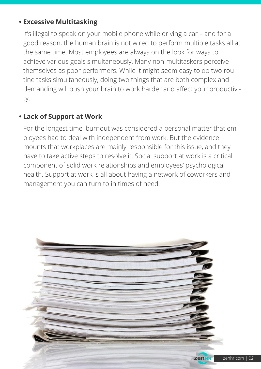#### **• Excessive Multitasking**

It's illegal to speak on your mobile phone while driving a car – and for a good reason, the human brain is not wired to perform multiple tasks all at the same time. Most employees are always on the look for ways to achieve various goals simultaneously. Many non-multitaskers perceive themselves as poor performers. While it might seem easy to do two routine tasks simultaneously, doing two things that are both complex and demanding will push your brain to work harder and affect your productivity.

### **• Lack of Support at Work**

For the longest time, burnout was considered a personal matter that employees had to deal with independent from work. But the evidence mounts that workplaces are mainly responsible for this issue, and they have to take active steps to resolve it. Social support at work is a critical component of solid work relationships and employees' psychological health. Support at work is all about having a network of coworkers and management you can turn to in times of need.



WHITEPAPER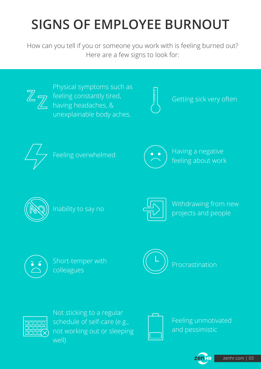## **SIGNS OF EMPLOYEE BURNOUT**

How can you tell if you or someone you work with is feeling burned out? Here are a few signs to look for:



Physical symptoms such as feeling constantly tired, having headaches, & unexplainable body aches.



Getting sick very often





Feeling overwhelmed  $\left(\bigwedge^{\bullet}\right)$  Having a negative feeling about work





Inability to say no  $\left[\frac{1}{\sqrt{2}}\right]$  Withdrawing from new projects and people



colleagues





Not sticking to a regular schedule of self-care (e.g., not working out or sleeping well)



Feeling unmotivated and pessimistic

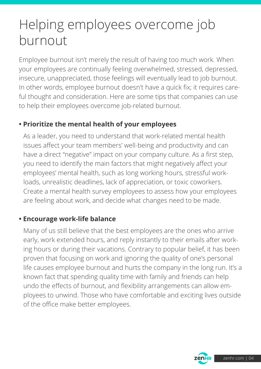### Helping employees overcome job burnout

Employee burnout isn't merely the result of having too much work. When your employees are continually feeling overwhelmed, stressed, depressed, insecure, unappreciated, those feelings will eventually lead to job burnout. In other words, employee burnout doesn't have a quick fix; it requires careful thought and consideration. Here are some tips that companies can use to help their employees overcome job-related burnout.

### **• Prioritize the mental health of your employees**

As a leader, you need to understand that work-related mental health issues affect your team members' well-being and productivity and can have a direct "negative" impact on your company culture. As a first step, you need to identify the main factors that might negatively affect your employees' mental health, such as long working hours, stressful workloads, unrealistic deadlines, lack of appreciation, or toxic coworkers. Create a mental health survey employees to assess how your employees are feeling about work, and decide what changes need to be made.

### **• Encourage work-life balance**

Many of us still believe that the best employees are the ones who arrive early, work extended hours, and reply instantly to their emails after working hours or during their vacations. Contrary to popular belief, it has been proven that focusing on work and ignoring the quality of one's personal life causes employee burnout and hurts the company in the long run. It's a known fact that spending quality time with family and friends can help undo the effects of burnout, and flexibility arrangements can allow employees to unwind. Those who have comfortable and exciting lives outside of the office make better employees.

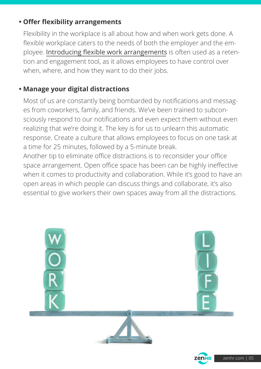### **• Offer flexibility arrangements**

Flexibility in the workplace is all about how and when work gets done. A flexible workplace caters to the needs of both the employer and the employee. Introducing flexible work arrangements is often used as a retention and engagement tool, as it allows employees to have control over when, where, and how they want to do their jobs. https://blog.zenhr.com/2021/01/27/10-types-of-workplace-flexibility-to-consider-in-2021/

### **• Manage your digital distractions**

Most of us are constantly being bombarded by notifications and messages from coworkers, family, and friends. We've been trained to subconsciously respond to our notifications and even expect them without even realizing that we're doing it. The key is for us to unlearn this automatic response. Create a culture that allows employees to focus on one task at a time for 25 minutes, followed by a 5-minute break.

Another tip to eliminate office distractions is to reconsider your office space arrangement. Open office space has been can be highly ineffective when it comes to productivity and collaboration. While it's good to have an open areas in which people can discuss things and collaborate, it's also essential to give workers their own spaces away from all the distractions.